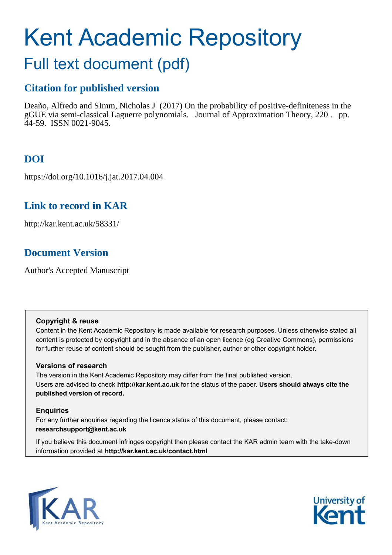# Kent Academic Repository

# Full text document (pdf)

# **Citation for published version**

Deaño, Alfredo and SImm, Nicholas J (2017) On the probability of positive-definiteness in the gGUE via semi-classical Laguerre polynomials. Journal of Approximation Theory, 220 . pp. 44-59. ISSN 0021-9045.

# **DOI**

https://doi.org/10.1016/j.jat.2017.04.004

# **Link to record in KAR**

http://kar.kent.ac.uk/58331/

# **Document Version**

Author's Accepted Manuscript

## **Copyright & reuse**

Content in the Kent Academic Repository is made available for research purposes. Unless otherwise stated all content is protected by copyright and in the absence of an open licence (eg Creative Commons), permissions for further reuse of content should be sought from the publisher, author or other copyright holder.

## **Versions of research**

The version in the Kent Academic Repository may differ from the final published version. Users are advised to check **http://kar.kent.ac.uk** for the status of the paper. **Users should always cite the published version of record.**

## **Enquiries**

For any further enquiries regarding the licence status of this document, please contact: **researchsupport@kent.ac.uk**

If you believe this document infringes copyright then please contact the KAR admin team with the take-down information provided at **http://kar.kent.ac.uk/contact.html**



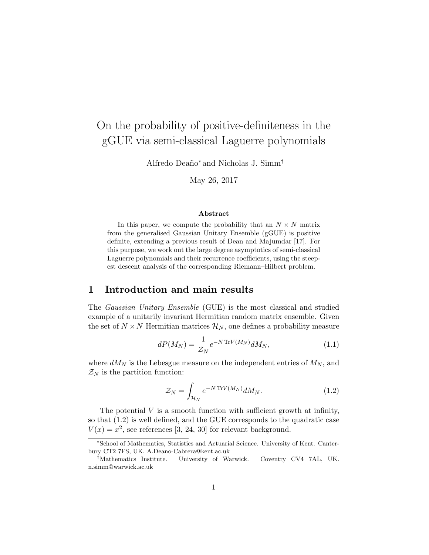# On the probability of positive-definiteness in the gGUE via semi-classical Laguerre polynomials

Alfredo Deaño<sup>∗</sup> and Nicholas J. Simm<sup>†</sup>

May 26, 2017

#### Abstract

In this paper, we compute the probability that an  $N \times N$  matrix from the generalised Gaussian Unitary Ensemble (gGUE) is positive definite, extending a previous result of Dean and Majumdar [17]. For this purpose, we work out the large degree asymptotics of semi-classical Laguerre polynomials and their recurrence coefficients, using the steepest descent analysis of the corresponding Riemann–Hilbert problem.

### 1 Introduction and main results

The Gaussian Unitary Ensemble (GUE) is the most classical and studied example of a unitarily invariant Hermitian random matrix ensemble. Given the set of  $N \times N$  Hermitian matrices  $\mathcal{H}_N$ , one defines a probability measure

$$
dP(M_N) = \frac{1}{\mathcal{Z}_N} e^{-N \operatorname{Tr} V(M_N)} dM_N,
$$
\n(1.1)

where  $dM_N$  is the Lebesgue measure on the independent entries of  $M_N$ , and  $\mathcal{Z}_N$  is the partition function:

$$
\mathcal{Z}_N = \int_{\mathcal{H}_N} e^{-N \operatorname{Tr} V(M_N)} dM_N. \tag{1.2}
$$

The potential  $V$  is a smooth function with sufficient growth at infinity, so that (1.2) is well defined, and the GUE corresponds to the quadratic case  $V(x) = x^2$ , see references [3, 24, 30] for relevant background.

<sup>∗</sup>School of Mathematics, Statistics and Actuarial Science. University of Kent. Canterbury CT2 7FS, UK. A.Deano-Cabrera@kent.ac.uk

<sup>†</sup>Mathematics Institute. University of Warwick. Coventry CV4 7AL, UK. n.simm@warwick.ac.uk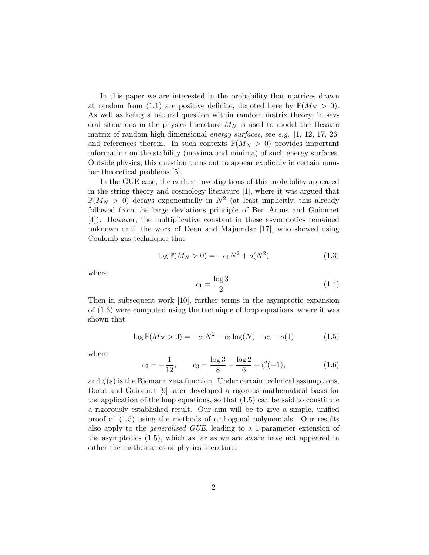In this paper we are interested in the probability that matrices drawn at random from (1.1) are positive definite, denoted here by  $\mathbb{P}(M_N > 0)$ . As well as being a natural question within random matrix theory, in several situations in the physics literature  $M_N$  is used to model the Hessian matrix of random high-dimensional energy surfaces, see e.g. [1, 12, 17, 26] and references therein. In such contexts  $\mathbb{P}(M_N > 0)$  provides important information on the stability (maxima and minima) of such energy surfaces. Outside physics, this question turns out to appear explicitly in certain number theoretical problems [5].

In the GUE case, the earliest investigations of this probability appeared in the string theory and cosmology literature [1], where it was argued that  $\mathbb{P}(M_N > 0)$  decays exponentially in  $N^2$  (at least implicitly, this already followed from the large deviations principle of Ben Arous and Guionnet [4]). However, the multiplicative constant in these asymptotics remained unknown until the work of Dean and Majumdar [17], who showed using Coulomb gas techniques that

$$
\log \mathbb{P}(M_N > 0) = -c_1 N^2 + o(N^2)
$$
 (1.3)

where

$$
c_1 = \frac{\log 3}{2}.\tag{1.4}
$$

Then in subsequent work [10], further terms in the asymptotic expansion of (1.3) were computed using the technique of loop equations, where it was shown that

$$
\log \mathbb{P}(M_N > 0) = -c_1 N^2 + c_2 \log(N) + c_3 + o(1) \tag{1.5}
$$

where

$$
c_2 = -\frac{1}{12}, \qquad c_3 = \frac{\log 3}{8} - \frac{\log 2}{6} + \zeta'(-1), \tag{1.6}
$$

and  $\zeta(s)$  is the Riemann zeta function. Under certain technical assumptions, Borot and Guionnet [9] later developed a rigorous mathematical basis for the application of the loop equations, so that (1.5) can be said to constitute a rigorously established result. Our aim will be to give a simple, unified proof of (1.5) using the methods of orthogonal polynomials. Our results also apply to the generalised GUE, leading to a 1-parameter extension of the asymptotics (1.5), which as far as we are aware have not appeared in either the mathematics or physics literature.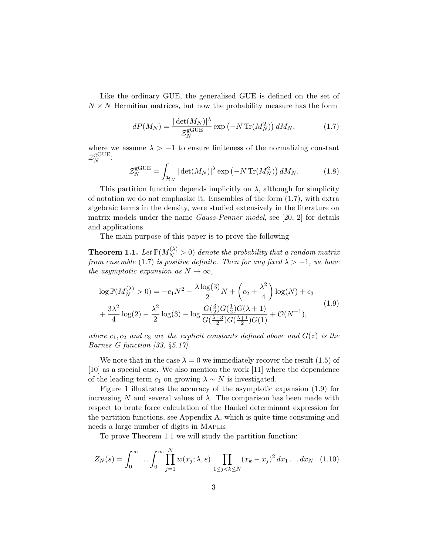Like the ordinary GUE, the generalised GUE is defined on the set of  $N \times N$  Hermitian matrices, but now the probability measure has the form

$$
dP(M_N) = \frac{|\det(M_N)|^{\lambda}}{\mathcal{Z}_N^{\text{gGUE}}} \exp\left(-N \operatorname{Tr}(M_N^2)\right) dM_N, \tag{1.7}
$$

where we assume  $\lambda > -1$  to ensure finiteness of the normalizing constant  $\mathcal{Z}_N^{\text{gGUE}}$  $N^{\text{GUE}}$ :

$$
\mathcal{Z}_N^{\text{gGUE}} = \int_{\mathcal{H}_N} |\det(M_N)|^{\lambda} \exp\left(-N \operatorname{Tr}(M_N^2)\right) dM_N. \tag{1.8}
$$

This partition function depends implicitly on  $\lambda$ , although for simplicity of notation we do not emphasize it. Ensembles of the form (1.7), with extra algebraic terms in the density, were studied extensively in the literature on matrix models under the name Gauss-Penner model, see [20, 2] for details and applications.

The main purpose of this paper is to prove the following

**Theorem 1.1.** Let  $\mathbb{P}(M_N^{(\lambda)} > 0)$  denote the probability that a random matrix from ensemble (1.7) is positive definite. Then for any fixed  $\lambda > -1$ , we have the asymptotic expansion as  $N \to \infty$ ,

$$
\log \mathbb{P}(M_N^{(\lambda)} > 0) = -c_1 N^2 - \frac{\lambda \log(3)}{2} N + \left(c_2 + \frac{\lambda^2}{4}\right) \log(N) + c_3
$$
  
+ 
$$
\frac{3\lambda^2}{4} \log(2) - \frac{\lambda^2}{2} \log(3) - \log \frac{G(\frac{3}{2})G(\frac{1}{2})G(\lambda + 1)}{G(\frac{\lambda + 3}{2})G(\frac{\lambda + 1}{2})G(1)} + \mathcal{O}(N^{-1}),
$$
(1.9)

where  $c_1, c_2$  and  $c_3$  are the explicit constants defined above and  $G(z)$  is the Barnes G function [33, §5.17].

We note that in the case  $\lambda = 0$  we immediately recover the result (1.5) of [10] as a special case. We also mention the work [11] where the dependence of the leading term  $c_1$  on growing  $\lambda \sim N$  is investigated.

Figure 1 illustrates the accuracy of the asymptotic expansion (1.9) for increasing N and several values of  $\lambda$ . The comparison has been made with respect to brute force calculation of the Hankel determinant expression for the partition functions, see Appendix A, which is quite time consuming and needs a large number of digits in Maple.

To prove Theorem 1.1 we will study the partition function:

$$
Z_N(s) = \int_0^\infty \dots \int_0^\infty \prod_{j=1}^N w(x_j; \lambda, s) \prod_{1 \le j < k \le N} (x_k - x_j)^2 \, dx_1 \dots dx_N \tag{1.10}
$$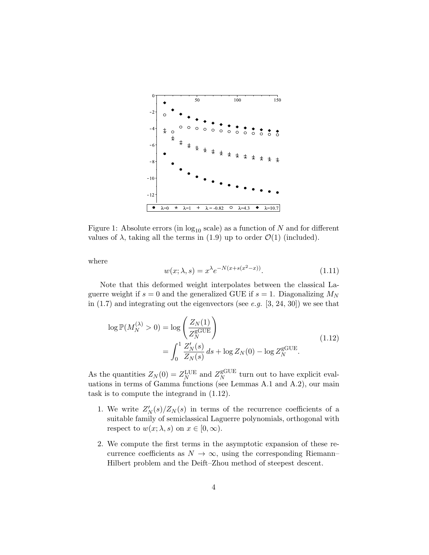

Figure 1: Absolute errors (in  $log_{10}$  scale) as a function of N and for different values of  $\lambda$ , taking all the terms in (1.9) up to order  $\mathcal{O}(1)$  (included).

where

$$
w(x; \lambda, s) = x^{\lambda} e^{-N(x + s(x^2 - x))}.
$$
\n
$$
(1.11)
$$

Note that this deformed weight interpolates between the classical Laguerre weight if  $s = 0$  and the generalized GUE if  $s = 1$ . Diagonalizing  $M_N$ in  $(1.7)$  and integrating out the eigenvectors (see e.g.  $[3, 24, 30]$ ) we see that

$$
\log \mathbb{P}(M_N^{(\lambda)} > 0) = \log \left( \frac{Z_N(1)}{Z_N^{\text{gGUE}}} \right)
$$
  
= 
$$
\int_0^1 \frac{Z_N'(s)}{Z_N(s)} ds + \log Z_N(0) - \log Z_N^{\text{gGUE}}.
$$
 (1.12)

As the quantities  $Z_N(0) = Z_N^{\text{LUE}}$  and  $Z_N^{\text{gGUE}}$  $_N^{\text{gGUE}}$  turn out to have explicit evaluations in terms of Gamma functions (see Lemmas A.1 and A.2), our main task is to compute the integrand in (1.12).

- 1. We write  $Z'_N(s)/Z_N(s)$  in terms of the recurrence coefficients of a suitable family of semiclassical Laguerre polynomials, orthogonal with respect to  $w(x; \lambda, s)$  on  $x \in [0, \infty)$ .
- 2. We compute the first terms in the asymptotic expansion of these recurrence coefficients as  $N \to \infty$ , using the corresponding Riemann– Hilbert problem and the Deift–Zhou method of steepest descent.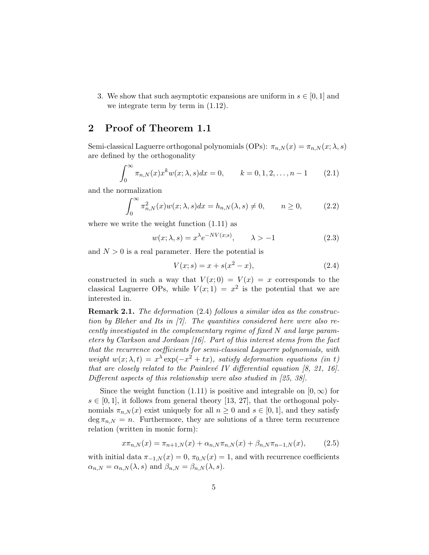3. We show that such asymptotic expansions are uniform in  $s \in [0, 1]$  and we integrate term by term in (1.12).

# 2 Proof of Theorem 1.1

Semi-classical Laguerre orthogonal polynomials (OPs):  $\pi_{n,N}(x) = \pi_{n,N}(x; \lambda, s)$ are defined by the orthogonality

$$
\int_0^\infty \pi_{n,N}(x) x^k w(x; \lambda, s) dx = 0, \qquad k = 0, 1, 2, \dots, n - 1 \qquad (2.1)
$$

and the normalization

$$
\int_0^\infty \pi_{n,N}^2(x) w(x; \lambda, s) dx = h_{n,N}(\lambda, s) \neq 0, \qquad n \ge 0,
$$
 (2.2)

where we write the weight function  $(1.11)$  as

$$
w(x; \lambda, s) = x^{\lambda} e^{-NV(x;s)}, \qquad \lambda > -1
$$
\n(2.3)

and  $N > 0$  is a real parameter. Here the potential is

$$
V(x; s) = x + s(x2 - x),
$$
\n(2.4)

constructed in such a way that  $V(x; 0) = V(x) = x$  corresponds to the classical Laguerre OPs, while  $V(x; 1) = x^2$  is the potential that we are interested in.

Remark 2.1. The deformation (2.4) follows a similar idea as the construction by Bleher and Its in [7]. The quantities considered here were also recently investigated in the complementary regime of fixed N and large parameters by Clarkson and Jordaan [16]. Part of this interest stems from the fact that the recurrence coefficients for semi-classical Laguerre polynomials, with weight  $w(x; \lambda, t) = x^{\lambda} \exp(-x^2 + tx)$ , satisfy deformation equations (in t) that are closely related to the Painlevé IV differential equation  $[8, 21, 16]$ . Different aspects of this relationship were also studied in [25, 38].

Since the weight function (1.11) is positive and integrable on  $[0, \infty)$  for  $s \in [0, 1]$ , it follows from general theory [13, 27], that the orthogonal polynomials  $\pi_{n,N}(x)$  exist uniquely for all  $n \geq 0$  and  $s \in [0,1]$ , and they satisfy  $\deg \pi_{n,N} = n$ . Furthermore, they are solutions of a three term recurrence relation (written in monic form):

$$
x\pi_{n,N}(x) = \pi_{n+1,N}(x) + \alpha_{n,N}\pi_{n,N}(x) + \beta_{n,N}\pi_{n-1,N}(x),
$$
 (2.5)

with initial data  $\pi_{-1,N}(x) = 0$ ,  $\pi_{0,N}(x) = 1$ , and with recurrence coefficients  $\alpha_{n,N} = \alpha_{n,N}(\lambda, s)$  and  $\beta_{n,N} = \beta_{n,N}(\lambda, s)$ .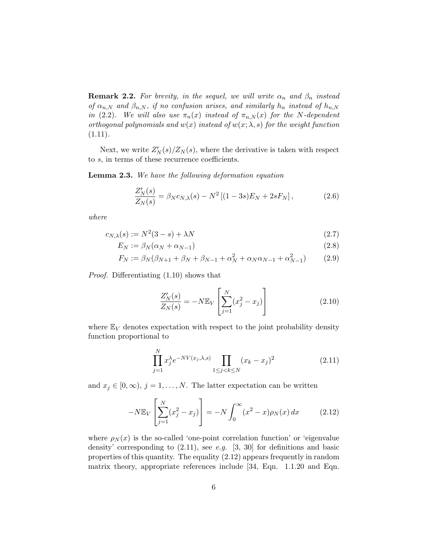**Remark 2.2.** For brevity, in the sequel, we will write  $\alpha_n$  and  $\beta_n$  instead of  $\alpha_{n,N}$  and  $\beta_{n,N}$ , if no confusion arises, and similarly  $h_n$  instead of  $h_{n,N}$ in (2.2). We will also use  $\pi_n(x)$  instead of  $\pi_{n,N}(x)$  for the N-dependent orthogonal polynomials and  $w(x)$  instead of  $w(x; \lambda, s)$  for the weight function  $(1.11).$ 

Next, we write  $Z'_N(s)/Z_N(s)$ , where the derivative is taken with respect to s, in terms of these recurrence coefficients.

Lemma 2.3. We have the following deformation equation

$$
\frac{Z_N'(s)}{Z_N(s)} = \beta_N c_{N,\lambda}(s) - N^2 \left[ (1 - 3s) E_N + 2s F_N \right],
$$
\n(2.6)

where

$$
c_{N,\lambda}(s) := N^2(3-s) + \lambda N \tag{2.7}
$$

$$
E_N := \beta_N(\alpha_N + \alpha_{N-1})
$$
\n(2.8)

$$
F_N := \beta_N(\beta_{N+1} + \beta_N + \beta_{N-1} + \alpha_N^2 + \alpha_N \alpha_{N-1} + \alpha_{N-1}^2)
$$
 (2.9)

Proof. Differentiating (1.10) shows that

$$
\frac{Z'_N(s)}{Z_N(s)} = -N \mathbb{E}_V \left[ \sum_{j=1}^N (x_j^2 - x_j) \right]
$$
 (2.10)

where  $\mathbb{E}_V$  denotes expectation with respect to the joint probability density function proportional to

$$
\prod_{j=1}^{N} x_j^{\lambda} e^{-NV(x_j,\lambda,s)} \prod_{1 \le j < k \le N} (x_k - x_j)^2 \tag{2.11}
$$

and  $x_j \in [0, \infty)$ ,  $j = 1, ..., N$ . The latter expectation can be written

$$
-N\mathbb{E}_V\left[\sum_{j=1}^N (x_j^2 - x_j)\right] = -N \int_0^\infty (x^2 - x)\rho_N(x) dx \qquad (2.12)
$$

where  $\rho_N(x)$  is the so-called 'one-point correlation function' or 'eigenvalue density' corresponding to  $(2.11)$ , see e.g. [3, 30] for definitions and basic properties of this quantity. The equality (2.12) appears frequently in random matrix theory, appropriate references include [34, Eqn. 1.1.20 and Eqn.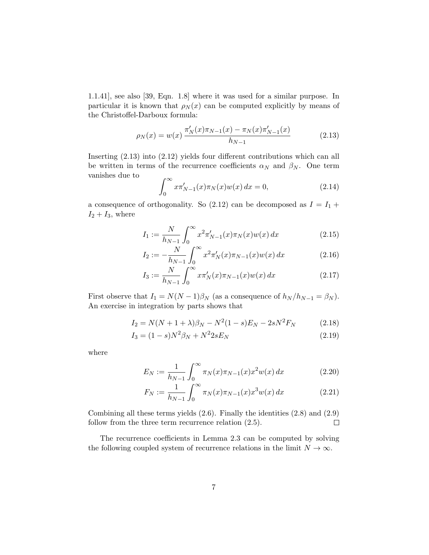1.1.41], see also [39, Eqn. 1.8] where it was used for a similar purpose. In particular it is known that  $\rho_N(x)$  can be computed explicitly by means of the Christoffel-Darboux formula:

$$
\rho_N(x) = w(x) \frac{\pi'_N(x)\pi_{N-1}(x) - \pi_N(x)\pi'_{N-1}(x)}{h_{N-1}}
$$
\n(2.13)

Inserting (2.13) into (2.12) yields four different contributions which can all be written in terms of the recurrence coefficients  $\alpha_N$  and  $\beta_N$ . One term vanishes due to

$$
\int_0^\infty x \pi'_{N-1}(x) \pi_N(x) w(x) dx = 0,
$$
\n(2.14)

a consequence of orthogonality. So  $(2.12)$  can be decomposed as  $I = I_1 +$  $I_2 + I_3$ , where

$$
I_1 := \frac{N}{h_{N-1}} \int_0^\infty x^2 \pi'_{N-1}(x) \pi_N(x) w(x) \, dx \tag{2.15}
$$

$$
I_2 := -\frac{N}{h_{N-1}} \int_0^\infty x^2 \pi'_N(x) \pi_{N-1}(x) w(x) \, dx \tag{2.16}
$$

$$
I_3 := \frac{N}{h_{N-1}} \int_0^\infty x \pi'_N(x) \pi_{N-1}(x) w(x) \, dx \tag{2.17}
$$

First observe that  $I_1 = N(N-1)\beta_N$  (as a consequence of  $h_N/h_{N-1} = \beta_N$ ). An exercise in integration by parts shows that

$$
I_2 = N(N + 1 + \lambda)\beta_N - N^2(1 - s)E_N - 2sN^2F_N \tag{2.18}
$$

$$
I_3 = (1 - s)N^2 \beta_N + N^2 2s E_N \tag{2.19}
$$

where

$$
E_N := \frac{1}{h_{N-1}} \int_0^\infty \pi_N(x) \pi_{N-1}(x) x^2 w(x) \, dx \tag{2.20}
$$

$$
F_N := \frac{1}{h_{N-1}} \int_0^\infty \pi_N(x) \pi_{N-1}(x) x^3 w(x) \, dx \tag{2.21}
$$

Combining all these terms yields (2.6). Finally the identities (2.8) and (2.9) follow from the three term recurrence relation (2.5).  $\Box$ 

The recurrence coefficients in Lemma 2.3 can be computed by solving the following coupled system of recurrence relations in the limit  $N \to \infty$ .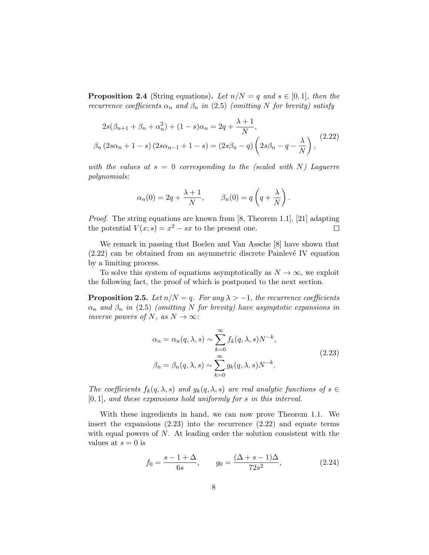**Proposition 2.4** (String equations). Let  $n/N = q$  and  $s \in [0,1]$ , then the recurrence coefficients  $\alpha_n$  and  $\beta_n$  in (2.5) (omitting N for brevity) satisfy

$$
2s(\beta_{n+1} + \beta_n + \alpha_n^2) + (1 - s)\alpha_n = 2q + \frac{\lambda + 1}{N},
$$
  

$$
\beta_n (2s\alpha_n + 1 - s) (2s\alpha_{n-1} + 1 - s) = (2s\beta_n - q) \left(2s\beta_n - q - \frac{\lambda}{N}\right),
$$
 (2.22)

with the values at  $s = 0$  corresponding to the (scaled with N) Laguerre polynomials:

$$
\alpha_n(0) = 2q + \frac{\lambda + 1}{N}, \qquad \beta_n(0) = q\left(q + \frac{\lambda}{N}\right).
$$

Proof. The string equations are known from [8, Theorem 1.1], [21] adapting the potential  $V(x; s) = x^2 - sx$  to the present one.  $\Box$ 

We remark in passing that Boelen and Van Assche [8] have shown that  $(2.22)$  can be obtained from an asymmetric discrete Painlevé IV equation by a limiting process.

To solve this system of equations asymptotically as  $N \to \infty$ , we exploit the following fact, the proof of which is postponed to the next section.

**Proposition 2.5.** Let  $n/N = q$ . For any  $\lambda > -1$ , the recurrence coefficients  $\alpha_n$  and  $\beta_n$  in (2.5) (omitting N for brevity) have asymptotic expansions in inverse powers of N, as  $N \to \infty$ :

$$
\alpha_n = \alpha_n(q, \lambda, s) \sim \sum_{k=0}^{\infty} f_k(q, \lambda, s) N^{-k},
$$
  

$$
\beta_n = \beta_n(q, \lambda, s) \sim \sum_{k=0}^{\infty} g_k(q, \lambda, s) N^{-k}.
$$
 (2.23)

The coefficients  $f_k(q, \lambda, s)$  and  $g_k(q, \lambda, s)$  are real analytic functions of  $s \in$  $[0, 1]$ , and these expansions hold uniformly for s in this interval.

With these ingredients in hand, we can now prove Theorem 1.1. We insert the expansions (2.23) into the recurrence (2.22) and equate terms with equal powers of  $N$ . At leading order the solution consistent with the values at  $s = 0$  is

$$
f_0 = \frac{s - 1 + \Delta}{6s}, \qquad g_0 = \frac{(\Delta + s - 1)\Delta}{72s^2}, \tag{2.24}
$$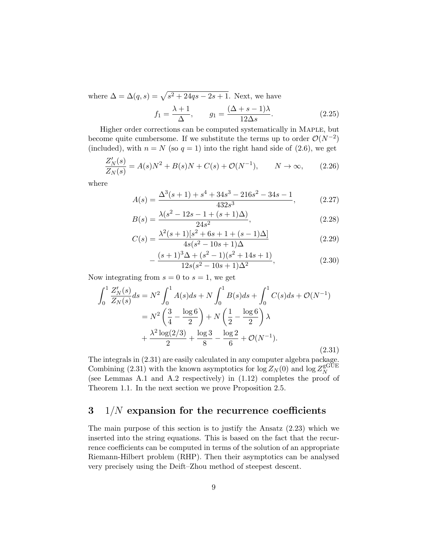where  $\Delta = \Delta(q, s) = \sqrt{s^2 + 24qs - 2s + 1}$ . Next, we have  $f_1 = \frac{\lambda + 1}{\lambda}$  $\frac{+1}{\Delta}$ ,  $g_1 = \frac{(\Delta + s - 1)\lambda}{12\Delta s}$  $12\Delta s$ 

Higher order corrections can be computed systematically in Maple, but become quite cumbersome. If we substitute the terms up to order  $\mathcal{O}(N^{-2})$ (included), with  $n = N$  (so  $q = 1$ ) into the right hand side of (2.6), we get

$$
\frac{Z_N'(s)}{Z_N(s)} = A(s)N^2 + B(s)N + C(s) + \mathcal{O}(N^{-1}), \qquad N \to \infty,
$$
 (2.26)

where

$$
A(s) = \frac{\Delta^3(s+1) + s^4 + 34s^3 - 216s^2 - 34s - 1}{432s^3},
$$
 (2.27)

 $(2.25)$ 

$$
B(s) = \frac{\lambda(s^2 - 12s - 1 + (s+1)\Delta)}{24s^2},
$$
\n(2.28)

$$
C(s) = \frac{\lambda^2(s+1)[s^2+6s+1+(s-1)\Delta]}{4s(s^2-10s+1)\Delta}
$$
\n(2.29)

$$
-\frac{(s+1)^3 \Delta + (s^2 - 1)(s^2 + 14s + 1)}{12s(s^2 - 10s + 1)\Delta^2},
$$
\n(2.30)

Now integrating from  $s = 0$  to  $s = 1$ , we get

$$
\int_{0}^{1} \frac{Z'_{N}(s)}{Z_{N}(s)} ds = N^{2} \int_{0}^{1} A(s) ds + N \int_{0}^{1} B(s) ds + \int_{0}^{1} C(s) ds + \mathcal{O}(N^{-1})
$$

$$
= N^{2} \left(\frac{3}{4} - \frac{\log 6}{2}\right) + N \left(\frac{1}{2} - \frac{\log 6}{2}\right) \lambda
$$

$$
+ \frac{\lambda^{2} \log(2/3)}{2} + \frac{\log 3}{8} - \frac{\log 2}{6} + \mathcal{O}(N^{-1}).
$$
(2.31)

The integrals in (2.31) are easily calculated in any computer algebra package. Combining (2.31) with the known asymptotics for  $\log Z_N(0)$  and  $\log Z_N^{\text{gGUE}}$ N (see Lemmas A.1 and A.2 respectively) in (1.12) completes the proof of Theorem 1.1. In the next section we prove Proposition 2.5.

## $3 \frac{1}{N}$  expansion for the recurrence coefficients

The main purpose of this section is to justify the Ansatz (2.23) which we inserted into the string equations. This is based on the fact that the recurrence coefficients can be computed in terms of the solution of an appropriate Riemann-Hilbert problem (RHP). Then their asymptotics can be analysed very precisely using the Deift–Zhou method of steepest descent.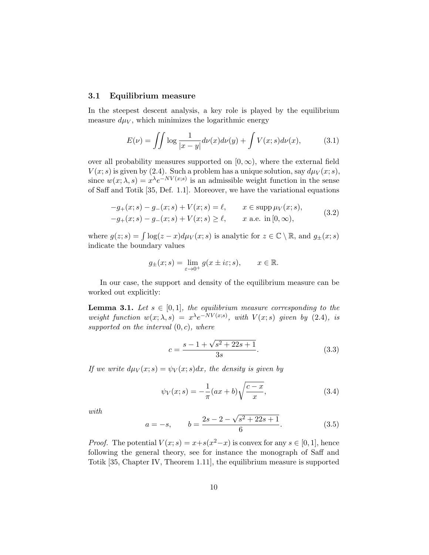#### 3.1 Equilibrium measure

In the steepest descent analysis, a key role is played by the equilibrium measure  $d\mu_V$ , which minimizes the logarithmic energy

$$
E(\nu) = \iint \log \frac{1}{|x - y|} d\nu(x) d\nu(y) + \int V(x; s) d\nu(x), \tag{3.1}
$$

over all probability measures supported on  $[0, \infty)$ , where the external field  $V(x; s)$  is given by (2.4). Such a problem has a unique solution, say  $d\mu_V(x; s)$ , since  $w(x; \lambda, s) = x^{\lambda} e^{-NV(x; s)}$  is an admissible weight function in the sense of Saff and Totik [35, Def. 1.1]. Moreover, we have the variational equations

$$
-g_{+}(x; s) - g_{-}(x; s) + V(x; s) = \ell, \qquad x \in \text{supp}\,\mu_{V}(x; s),
$$
  

$$
-g_{+}(x; s) - g_{-}(x; s) + V(x; s) \ge \ell, \qquad x \text{ a.e. in } [0, \infty),
$$
 (3.2)

where  $g(z; s) = \int \log(z - x) d\mu_V(x; s)$  is analytic for  $z \in \mathbb{C} \setminus \mathbb{R}$ , and  $g_{\pm}(x; s)$ indicate the boundary values

$$
g_{\pm}(x; s) = \lim_{\varepsilon \to 0^+} g(x \pm i\varepsilon; s), \qquad x \in \mathbb{R}.
$$

In our case, the support and density of the equilibrium measure can be worked out explicitly:

**Lemma 3.1.** Let  $s \in [0,1]$ , the equilibrium measure corresponding to the weight function  $w(x; \lambda, s) = x^{\lambda} e^{-NV(x; s)}$ , with  $V(x; s)$  given by (2.4), is supported on the interval  $(0, c)$ , where

$$
c = \frac{s - 1 + \sqrt{s^2 + 22s + 1}}{3s}.
$$
\n(3.3)

If we write  $d\mu_V(x; s) = \psi_V(x; s) dx$ , the density is given by

$$
\psi_V(x;s) = -\frac{1}{\pi}(ax+b)\sqrt{\frac{c-x}{x}},\tag{3.4}
$$

with

$$
a = -s, \qquad b = \frac{2s - 2 - \sqrt{s^2 + 22s + 1}}{6}.\tag{3.5}
$$

*Proof.* The potential  $V(x; s) = x+s(x^2-x)$  is convex for any  $s \in [0, 1]$ , hence following the general theory, see for instance the monograph of Saff and Totik [35, Chapter IV, Theorem 1.11], the equilibrium measure is supported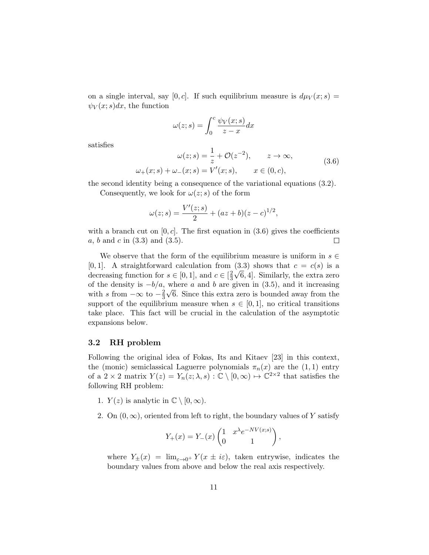on a single interval, say [0, c]. If such equilibrium measure is  $d\mu_V(x; s) =$  $\psi_V(x; s)dx$ , the function

$$
\omega(z;s) = \int_0^c \frac{\psi_V(x;s)}{z-x} dx
$$

satisfies

$$
\omega(z;s) = \frac{1}{z} + \mathcal{O}(z^{-2}), \qquad z \to \infty,
$$
  

$$
\omega_{+}(x;s) + \omega_{-}(x;s) = V'(x;s), \qquad x \in (0,c),
$$
 (3.6)

the second identity being a consequence of the variational equations (3.2).

Consequently, we look for  $\omega(z; s)$  of the form

$$
\omega(z;s) = \frac{V'(z;s)}{2} + (az+b)(z-c)^{1/2},
$$

with a branch cut on  $[0, c]$ . The first equation in (3.6) gives the coefficients a, b and c in  $(3.3)$  and  $(3.5)$ .  $\Box$ 

We observe that the form of the equilibrium measure is uniform in  $s \in \mathbb{R}$ [0, 1]. A straightforward calculation from (3.3) shows that  $c = c(s)$  is a decreasing function for  $s \in [0, 1]$ , and  $c \in [\frac{2}{3}]$ 3  $\sqrt{6}$ , 4]. Similarly, the extra zero of the density is  $-b/a$ , where a and b are given in (3.5), and it increasing with s from  $-\infty$  to  $-\frac{2}{3}$ 3  $\sqrt{6}$ . Since this extra zero is bounded away from the support of the equilibrium measure when  $s \in [0,1]$ , no critical transitions take place. This fact will be crucial in the calculation of the asymptotic expansions below.

#### 3.2 RH problem

Following the original idea of Fokas, Its and Kitaev [23] in this context, the (monic) semiclassical Laguerre polynomials  $\pi_n(x)$  are the  $(1, 1)$  entry of a  $2 \times 2$  matrix  $Y(z) = Y_n(z; \lambda, s) : \mathbb{C} \setminus [0, \infty) \mapsto \mathbb{C}^{2 \times 2}$  that satisfies the following RH problem:

- 1.  $Y(z)$  is analytic in  $\mathbb{C} \setminus [0, \infty)$ .
- 2. On  $(0, \infty)$ , oriented from left to right, the boundary values of Y satisfy

$$
Y_{+}(x) = Y_{-}(x) \begin{pmatrix} 1 & x^{\lambda} e^{-NV(x;s)} \\ 0 & 1 \end{pmatrix},
$$

where  $Y_{\pm}(x) = \lim_{\varepsilon \to 0^+} Y(x \pm i\varepsilon)$ , taken entrywise, indicates the boundary values from above and below the real axis respectively.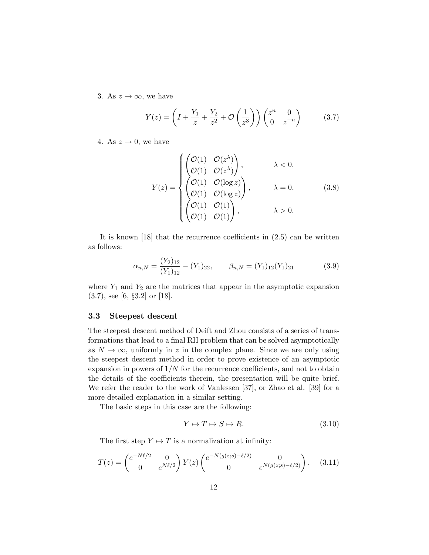3. As  $z \to \infty$ , we have

$$
Y(z) = \left(I + \frac{Y_1}{z} + \frac{Y_2}{z^2} + \mathcal{O}\left(\frac{1}{z^3}\right)\right) \begin{pmatrix} z^n & 0\\ 0 & z^{-n} \end{pmatrix}
$$
 (3.7)

4. As  $z \to 0$ , we have

$$
Y(z) = \begin{cases} \begin{pmatrix} \mathcal{O}(1) & \mathcal{O}(z^{\lambda}) \\ \mathcal{O}(1) & \mathcal{O}(z^{\lambda}) \end{pmatrix}, & \lambda < 0, \\ \begin{pmatrix} \mathcal{O}(1) & \mathcal{O}(\log z) \\ \mathcal{O}(1) & \mathcal{O}(\log z) \end{pmatrix}, & \lambda = 0, \\ \begin{pmatrix} \mathcal{O}(1) & \mathcal{O}(1) \\ \mathcal{O}(1) & \mathcal{O}(1) \end{pmatrix}, & \lambda > 0. \end{cases}
$$
(3.8)

It is known [18] that the recurrence coefficients in (2.5) can be written as follows:

$$
\alpha_{n,N} = \frac{(Y_2)_{12}}{(Y_1)_{12}} - (Y_1)_{22}, \qquad \beta_{n,N} = (Y_1)_{12}(Y_1)_{21} \tag{3.9}
$$

where  $Y_1$  and  $Y_2$  are the matrices that appear in the asymptotic expansion (3.7), see [6, §3.2] or [18].

#### 3.3 Steepest descent

The steepest descent method of Deift and Zhou consists of a series of transformations that lead to a final RH problem that can be solved asymptotically as  $N \to \infty$ , uniformly in z in the complex plane. Since we are only using the steepest descent method in order to prove existence of an asymptotic expansion in powers of  $1/N$  for the recurrence coefficients, and not to obtain the details of the coefficients therein, the presentation will be quite brief. We refer the reader to the work of Vanlessen [37], or Zhao et al. [39] for a more detailed explanation in a similar setting.

The basic steps in this case are the following:

$$
Y \mapsto T \mapsto S \mapsto R. \tag{3.10}
$$

The first step  $Y \mapsto T$  is a normalization at infinity:

$$
T(z) = \begin{pmatrix} e^{-N\ell/2} & 0\\ 0 & e^{N\ell/2} \end{pmatrix} Y(z) \begin{pmatrix} e^{-N(g(z;s) - \ell/2)} & 0\\ 0 & e^{N(g(z;s) - \ell/2)} \end{pmatrix}, \quad (3.11)
$$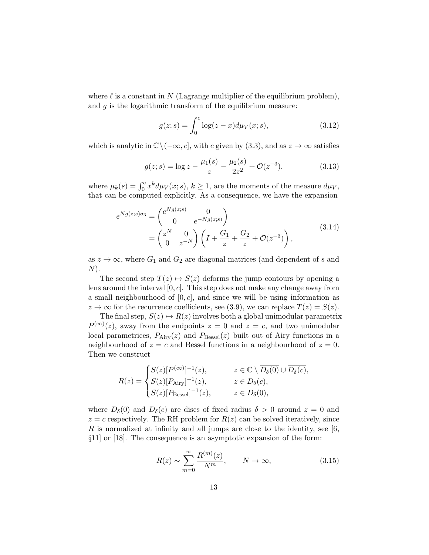where  $\ell$  is a constant in N (Lagrange multiplier of the equilibrium problem), and  $g$  is the logarithmic transform of the equilibrium measure:

$$
g(z; s) = \int_0^c \log(z - x) d\mu_V(x; s), \tag{3.12}
$$

which is analytic in  $\mathbb{C}\setminus(-\infty,c]$ , with c given by (3.3), and as  $z\to\infty$  satisfies

$$
g(z; s) = \log z - \frac{\mu_1(s)}{z} - \frac{\mu_2(s)}{2z^2} + \mathcal{O}(z^{-3}),\tag{3.13}
$$

where  $\mu_k(s) = \int_0^c x^k d\mu_V(x; s), k \ge 1$ , are the moments of the measure  $d\mu_V$ , that can be computed explicitly. As a consequence, we have the expansion

$$
e^{Ng(z;s)\sigma_3} = \begin{pmatrix} e^{Ng(z;s)} & 0\\ 0 & e^{-Ng(z;s)} \end{pmatrix}
$$
  
=  $\begin{pmatrix} z^N & 0\\ 0 & z^{-N} \end{pmatrix} \left( I + \frac{G_1}{z} + \frac{G_2}{z} + \mathcal{O}(z^{-3}) \right),$  (3.14)

as  $z \to \infty$ , where  $G_1$  and  $G_2$  are diagonal matrices (and dependent of s and  $N$ ).

The second step  $T(z) \mapsto S(z)$  deforms the jump contours by opening a lens around the interval  $[0, c]$ . This step does not make any change away from a small neighbourhood of  $[0, c]$ , and since we will be using information as  $z \to \infty$  for the recurrence coefficients, see (3.9), we can replace  $T(z) = S(z)$ .

The final step,  $S(z) \mapsto R(z)$  involves both a global unimodular parametrix  $P^{(\infty)}(z)$ , away from the endpoints  $z = 0$  and  $z = c$ , and two unimodular local parametrices,  $P_{Airy}(z)$  and  $P_{\text{Bessel}}(z)$  built out of Airy functions in a neighbourhood of  $z = c$  and Bessel functions in a neighbourhood of  $z = 0$ . Then we construct

$$
R(z) = \begin{cases} S(z)[P^{(\infty)}]^{-1}(z), & z \in \mathbb{C} \setminus \overline{D_{\delta}(0)} \cup \overline{D_{\delta}(c)}, \\ S(z)[P_{\text{Airy}}]^{-1}(z), & z \in D_{\delta}(c), \\ S(z)[P_{\text{Bessel}}]^{-1}(z), & z \in D_{\delta}(0), \end{cases}
$$

where  $D_{\delta}(0)$  and  $D_{\delta}(c)$  are discs of fixed radius  $\delta > 0$  around  $z = 0$  and  $z = c$  respectively. The RH problem for  $R(z)$  can be solved iteratively, since R is normalized at infinity and all jumps are close to the identity, see  $[6,$ §11] or [18]. The consequence is an asymptotic expansion of the form:

$$
R(z) \sim \sum_{m=0}^{\infty} \frac{R^{(m)}(z)}{N^m}, \qquad N \to \infty,
$$
 (3.15)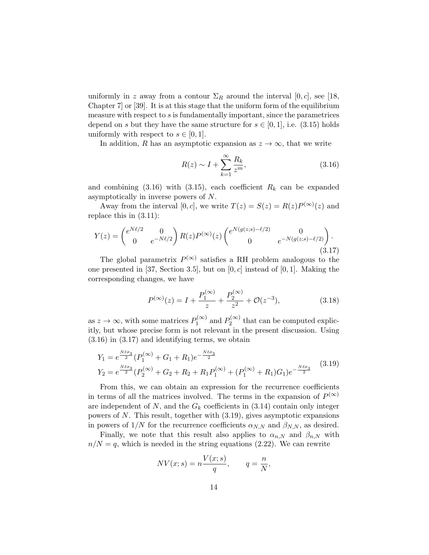uniformly in z away from a contour  $\Sigma_R$  around the interval  $[0, c]$ , see [18, Chapter 7] or [39]. It is at this stage that the uniform form of the equilibrium measure with respect to  $s$  is fundamentally important, since the parametrices depend on s but they have the same structure for  $s \in [0, 1]$ , i.e.  $(3.15)$  holds uniformly with respect to  $s \in [0,1]$ .

In addition, R has an asymptotic expansion as  $z \to \infty$ , that we write

$$
R(z) \sim I + \sum_{k=1}^{\infty} \frac{R_k}{z^m},\tag{3.16}
$$

and combining  $(3.16)$  with  $(3.15)$ , each coefficient  $R_k$  can be expanded asymptotically in inverse powers of N.

Away from the interval [0, c], we write  $T(z) = S(z) = R(z)P^{(\infty)}(z)$  and replace this in (3.11):

$$
Y(z) = \begin{pmatrix} e^{N\ell/2} & 0\\ 0 & e^{-N\ell/2} \end{pmatrix} R(z) P^{(\infty)}(z) \begin{pmatrix} e^{N(g(z;s) - \ell/2)} & 0\\ 0 & e^{-N(g(z;s) - \ell/2)} \end{pmatrix}.
$$
\n(3.17)

The global parametrix  $P^{(\infty)}$  satisfies a RH problem analogous to the one presented in [37, Section 3.5], but on  $[0, c]$  instead of [0, 1]. Making the corresponding changes, we have

$$
P^{(\infty)}(z) = I + \frac{P_1^{(\infty)}}{z} + \frac{P_2^{(\infty)}}{z^2} + \mathcal{O}(z^{-3}),\tag{3.18}
$$

as  $z \to \infty$ , with some matrices  $P_1^{(\infty)}$  $P_1^{(\infty)}$  and  $P_2^{(\infty)}$  $t_2^{(0)}$  that can be computed explicitly, but whose precise form is not relevant in the present discussion. Using (3.16) in (3.17) and identifying terms, we obtain

$$
Y_1 = e^{\frac{N\ell\sigma_3}{2}} (P_1^{(\infty)} + G_1 + R_1)e^{-\frac{N\ell\sigma_3}{2}}
$$
  
\n
$$
Y_2 = e^{\frac{N\ell\sigma_3}{2}} (P_2^{(\infty)} + G_2 + R_2 + R_1 P_1^{(\infty)} + (P_1^{(\infty)} + R_1)G_1)e^{-\frac{N\ell\sigma_3}{2}}
$$
\n(3.19)

From this, we can obtain an expression for the recurrence coefficients in terms of all the matrices involved. The terms in the expansion of  $P^{(\infty)}$ are independent of  $N$ , and the  $G_k$  coefficients in (3.14) contain only integer powers of N. This result, together with (3.19), gives asymptotic expansions in powers of  $1/N$  for the recurrence coefficients  $\alpha_{N,N}$  and  $\beta_{N,N}$ , as desired.

Finally, we note that this result also applies to  $\alpha_{n,N}$  and  $\beta_{n,N}$  with  $n/N = q$ , which is needed in the string equations (2.22). We can rewrite

$$
NV(x; s) = n\frac{V(x; s)}{q}, \qquad q = \frac{n}{N},
$$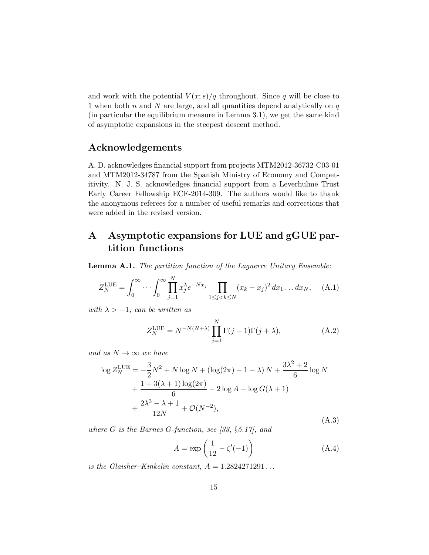and work with the potential  $V(x; s)/q$  throughout. Since q will be close to 1 when both  $n$  and  $N$  are large, and all quantities depend analytically on  $q$ (in particular the equilibrium measure in Lemma 3.1), we get the same kind of asymptotic expansions in the steepest descent method.

# Acknowledgements

A. D. acknowledges financial support from projects MTM2012-36732-C03-01 and MTM2012-34787 from the Spanish Ministry of Economy and Competitivity. N. J. S. acknowledges financial support from a Leverhulme Trust Early Career Fellowship ECF-2014-309. The authors would like to thank the anonymous referees for a number of useful remarks and corrections that were added in the revised version.

# A Asymptotic expansions for LUE and gGUE partition functions

Lemma A.1. The partition function of the Laguerre Unitary Ensemble:

$$
Z_N^{\text{LUE}} = \int_0^\infty \cdots \int_0^\infty \prod_{j=1}^N x_j^{\lambda} e^{-Nx_j} \prod_{1 \le j < k \le N} (x_k - x_j)^2 \, dx_1 \dots dx_N, \quad \text{(A.1)}
$$

with  $\lambda > -1$ , can be written as

$$
Z_N^{\text{LUE}} = N^{-N(N+\lambda)} \prod_{j=1}^N \Gamma(j+1)\Gamma(j+\lambda), \tag{A.2}
$$

and as  $N \to \infty$  we have

$$
\log Z_N^{\text{LUE}} = -\frac{3}{2}N^2 + N \log N + (\log(2\pi) - 1 - \lambda)N + \frac{3\lambda^2 + 2}{6} \log N + \frac{1 + 3(\lambda + 1)\log(2\pi)}{6} - 2 \log A - \log G(\lambda + 1) + \frac{2\lambda^3 - \lambda + 1}{12N} + \mathcal{O}(N^{-2}),
$$
\n(A.3)

where  $G$  is the Barnes  $G$ -function, see [33, §5.17], and

$$
A = \exp\left(\frac{1}{12} - \zeta'(-1)\right) \tag{A.4}
$$

is the Glaisher–Kinkelin constant,  $A = 1.2824271291...$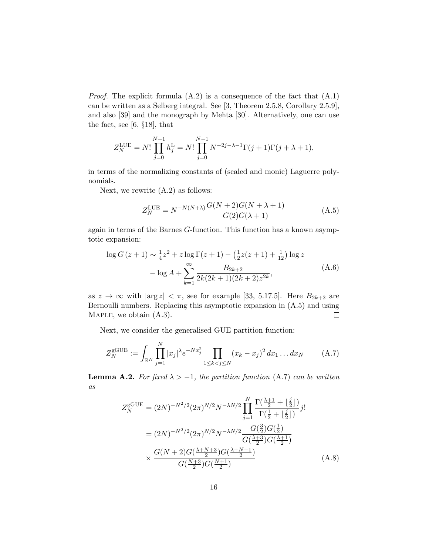*Proof.* The explicit formula  $(A.2)$  is a consequence of the fact that  $(A.1)$ can be written as a Selberg integral. See [3, Theorem 2.5.8, Corollary 2.5.9], and also [39] and the monograph by Mehta [30]. Alternatively, one can use the fact, see [6, §18], that

$$
Z_N^{\text{LUE}} = N! \prod_{j=0}^{N-1} h_j^{\text{L}} = N! \prod_{j=0}^{N-1} N^{-2j-\lambda-1} \Gamma(j+1) \Gamma(j+\lambda+1),
$$

in terms of the normalizing constants of (scaled and monic) Laguerre polynomials.

Next, we rewrite (A.2) as follows:

$$
Z_N^{\text{LUE}} = N^{-N(N+\lambda)} \frac{G(N+2)G(N+\lambda+1)}{G(2)G(\lambda+1)}
$$
(A.5)

again in terms of the Barnes G-function. This function has a known asymptotic expansion:

$$
\log G(z+1) \sim \frac{1}{4}z^2 + z \log \Gamma(z+1) - \left(\frac{1}{2}z(z+1) + \frac{1}{12}\right) \log z
$$

$$
- \log A + \sum_{k=1}^{\infty} \frac{B_{2k+2}}{2k(2k+1)(2k+2)z^{2k}},
$$
(A.6)

as  $z \to \infty$  with  $|\arg z| < \pi$ , see for example [33, 5.17.5]. Here  $B_{2k+2}$  are Bernoulli numbers. Replacing this asymptotic expansion in (A.5) and using MAPLE, we obtain  $(A.3)$ .  $\Box$ 

Next, we consider the generalised GUE partition function:

$$
Z_N^{\text{gGUE}} := \int_{\mathbb{R}^N} \prod_{j=1}^N |x_j| \lambda e^{-Nx_j^2} \prod_{1 \le k < j \le N} (x_k - x_j)^2 \, dx_1 \dots dx_N \tag{A.7}
$$

**Lemma A.2.** For fixed  $\lambda > -1$ , the partition function (A.7) can be written as

$$
Z_N^{\text{gGUE}} = (2N)^{-N^2/2} (2\pi)^{N/2} N^{-\lambda N/2} \prod_{j=1}^N \frac{\Gamma(\frac{\lambda+1}{2} + \lfloor \frac{j}{2} \rfloor)}{\Gamma(\frac{1}{2} + \lfloor \frac{j}{2} \rfloor)} j!
$$
  
=  $(2N)^{-N^2/2} (2\pi)^{N/2} N^{-\lambda N/2} \frac{G(\frac{3}{2}) G(\frac{1}{2})}{G(\frac{\lambda+3}{2}) G(\frac{\lambda+1}{2})}$   
 $\times \frac{G(N+2) G(\frac{\lambda+N+3}{2}) G(\frac{\lambda+N+1}{2})}{G(\frac{N+3}{2}) G(\frac{N+1}{2})}$  (A.8)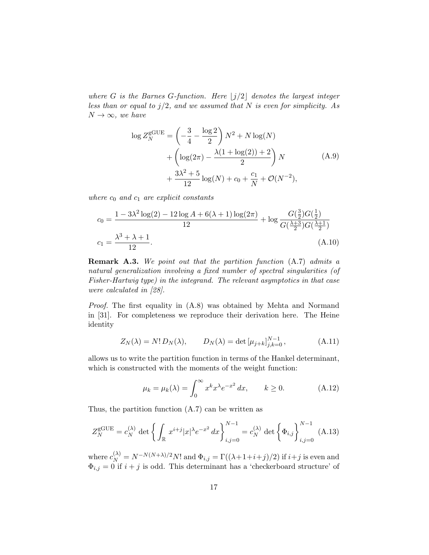where G is the Barnes G-function. Here  $|j/2|$  denotes the largest integer less than or equal to  $j/2$ , and we assumed that N is even for simplicity. As  $N \rightarrow \infty$ , we have

$$
\log Z_N^{\text{GUE}} = \left(-\frac{3}{4} - \frac{\log 2}{2}\right) N^2 + N \log(N) + \left(\log(2\pi) - \frac{\lambda(1 + \log(2)) + 2}{2}\right) N + \frac{3\lambda^2 + 5}{12} \log(N) + c_0 + \frac{c_1}{N} + \mathcal{O}(N^{-2}),
$$
\n(A.9)

where  $c_0$  and  $c_1$  are explicit constants

$$
c_0 = \frac{1 - 3\lambda^2 \log(2) - 12 \log A + 6(\lambda + 1) \log(2\pi)}{12} + \log \frac{G(\frac{3}{2})G(\frac{1}{2})}{G(\frac{\lambda + 3}{2})G(\frac{\lambda + 1}{2})}
$$
  

$$
c_1 = \frac{\lambda^3 + \lambda + 1}{12}.
$$
 (A.10)

Remark A.3. We point out that the partition function (A.7) admits a natural generalization involving a fixed number of spectral singularities (of Fisher-Hartwig type) in the integrand. The relevant asymptotics in that case were calculated in [28].

Proof. The first equality in (A.8) was obtained by Mehta and Normand in [31]. For completeness we reproduce their derivation here. The Heine identity

$$
Z_N(\lambda) = N! D_N(\lambda), \qquad D_N(\lambda) = \det \left[ \mu_{j+k} \right]_{j,k=0}^{N-1}, \tag{A.11}
$$

allows us to write the partition function in terms of the Hankel determinant, which is constructed with the moments of the weight function:

$$
\mu_k = \mu_k(\lambda) = \int_0^\infty x^k x^\lambda e^{-x^2} dx, \qquad k \ge 0.
$$
 (A.12)

Thus, the partition function (A.7) can be written as

$$
Z_N^{\text{gGUE}} = c_N^{(\lambda)} \det \left\{ \int_{\mathbb{R}} x^{i+j} |x|^{\lambda} e^{-x^2} dx \right\}_{i,j=0}^{N-1} = c_N^{(\lambda)} \det \left\{ \Phi_{i,j} \right\}_{i,j=0}^{N-1} (A.13)
$$

where  $c_N^{(\lambda)} = N^{-N(N+\lambda)/2} N!$  and  $\Phi_{i,j} = \Gamma((\lambda+1+i+j)/2)$  if  $i+j$  is even and  $\Phi_{i,j} = 0$  if  $i + j$  is odd. This determinant has a 'checkerboard structure' of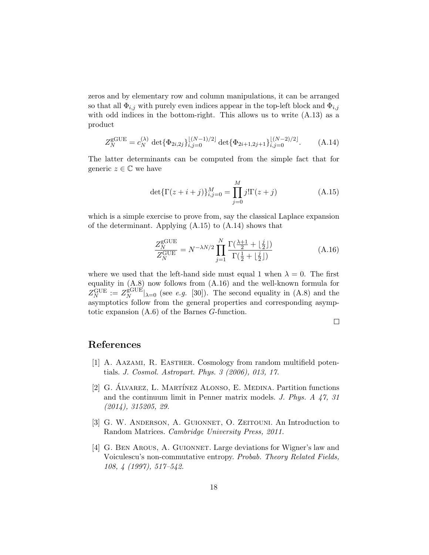zeros and by elementary row and column manipulations, it can be arranged so that all  $\Phi_{i,j}$  with purely even indices appear in the top-left block and  $\Phi_{i,j}$ with odd indices in the bottom-right. This allows us to write  $(A.13)$  as a product

$$
Z_N^{\text{gGUE}} = c_N^{(\lambda)} \det \{ \Phi_{2i,2j} \}_{i,j=0}^{\lfloor (N-1)/2 \rfloor} \det \{ \Phi_{2i+1,2j+1} \}_{i,j=0}^{\lfloor (N-2)/2 \rfloor}.
$$
 (A.14)

The latter determinants can be computed from the simple fact that for generic  $z \in \mathbb{C}$  we have

$$
\det\{\Gamma(z+i+j)\}_{i,j=0}^M = \prod_{j=0}^M j!\Gamma(z+j)
$$
 (A.15)

which is a simple exercise to prove from, say the classical Laplace expansion of the determinant. Applying  $(A.15)$  to  $(A.14)$  shows that

$$
\frac{Z_N^{\text{gGUE}}}{Z_N^{\text{GUE}}} = N^{-\lambda N/2} \prod_{j=1}^N \frac{\Gamma(\frac{\lambda+1}{2} + \lfloor \frac{j}{2} \rfloor)}{\Gamma(\frac{1}{2} + \lfloor \frac{j}{2} \rfloor)}\tag{A.16}
$$

where we used that the left-hand side must equal 1 when  $\lambda = 0$ . The first equality in (A.8) now follows from (A.16) and the well-known formula for  $Z_N^{\rm GUE}:=Z_N^{\rm gGUE}$  $\mathbb{R}^{\text{GUE}}_N|_{\lambda=0}$  (see *e.g.* [30]). The second equality in (A.8) and the asymptotics follow from the general properties and corresponding asymptotic expansion (A.6) of the Barnes G-function.

 $\Box$ 

## References

- [1] A. Aazami, R. Easther. Cosmology from random multifield potentials. J. Cosmol. Astropart. Phys. 3 (2006), 013, 17.
- [2] G. ALVAREZ, L. MARTÍNEZ ALONSO, E. MEDINA. Partition functions and the continuum limit in Penner matrix models. J. Phys. A 47, 31 (2014), 315205, 29.
- [3] G. W. Anderson, A. Guionnet, O. Zeitouni. An Introduction to Random Matrices. Cambridge University Press, 2011.
- [4] G. Ben Arous, A. Guionnet. Large deviations for Wigner's law and Voiculescu's non-commutative entropy. Probab. Theory Related Fields, 108, 4 (1997), 517–542.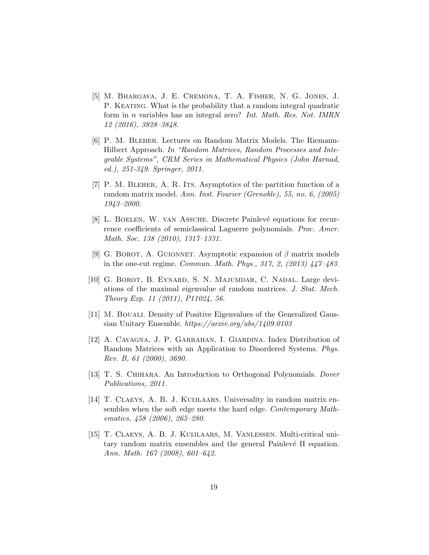- [5] M. Bhargava, J. E. Cremona, T. A. Fisher, N. G. Jones, J. P. KEATING. What is the probability that a random integral quadratic form in n variables has an integral zero? Int. Math. Res. Not. IMRN 12 (2016), 3828–3848.
- [6] P. M. Bleher. Lectures on Random Matrix Models. The Riemann-Hilbert Approach. In "Random Matrices, Random Processes and Integrable Systems", CRM Series in Mathematical Physics (John Harnad, ed.), 251-349. Springer, 2011.
- [7] P. M. Bleher, A. R. Its. Asymptotics of the partition function of a random matrix model. Ann. Inst. Fourier (Grenoble), 55, no. 6, (2005) 1943–2000.
- [8] L. BOELEN, W. VAN ASSCHE. Discrete Painlevé equations for recurrence coefficients of semiclassical Laguerre polynomials. Proc. Amer. Math. Soc. 138 (2010), 1317–1331.
- [9] G. BOROT, A. GUIONNET. Asymptotic expansion of  $\beta$  matrix models in the one-cut regime. Commun. Math. Phys., 317, 2, (2013) 447–483.
- [10] G. Borot, B. Eynard, S. N. Majumdar, C. Nadal. Large deviations of the maximal eigenvalue of random matrices. J. Stat. Mech. Theory Exp. 11 (2011), P11024, 56.
- [11] M. Bouali. Density of Positive Eigenvalues of the Generalized Gaussian Unitary Ensemble. https://arxiv.org/abs/1409.0103
- [12] A. Cavagna, J. P. Garrahan, I. Giardina. Index Distribution of Random Matrices with an Application to Disordered Systems. Phys. Rev. B, 61 (2000), 3690.
- [13] T. S. CHIHARA. An Introduction to Orthogonal Polynomials. *Dover* Publications, 2011.
- [14] T. Claeys, A. B. J. Kuijlaars. Universality in random matrix ensembles when the soft edge meets the hard edge. Contemporary Mathematics, 458 (2006), 265–280.
- [15] T. Claeys, A. B. J. Kuijlaars, M. Vanlessen. Multi-critical unitary random matrix ensembles and the general Painlevé II equation. Ann. Math. 167 (2008), 601–642.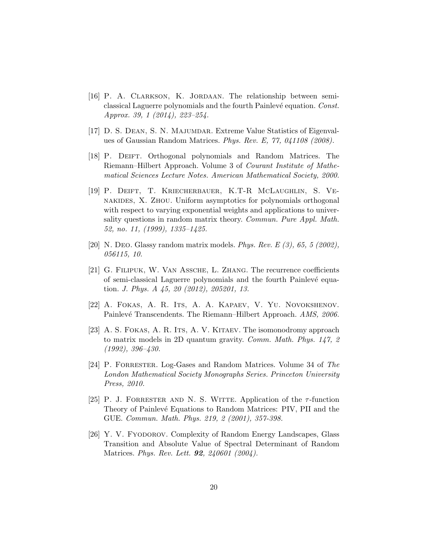- [16] P. A. CLARKSON, K. JORDAAN. The relationship between semiclassical Laguerre polynomials and the fourth Painlevé equation. Const. Approx. 39, 1 (2014), 223–254.
- [17] D. S. Dean, S. N. Majumdar. Extreme Value Statistics of Eigenvalues of Gaussian Random Matrices. Phys. Rev. E, 77, 041108 (2008).
- [18] P. Deift. Orthogonal polynomials and Random Matrices. The Riemann–Hilbert Approach. Volume 3 of Courant Institute of Mathematical Sciences Lecture Notes. American Mathematical Society, 2000.
- [19] P. Deift, T. Kriecherbauer, K.T-R McLaughlin, S. Venakides, X. Zhou. Uniform asymptotics for polynomials orthogonal with respect to varying exponential weights and applications to universality questions in random matrix theory. Commun. Pure Appl. Math. 52, no. 11, (1999), 1335–1425.
- [20] N. Deo. Glassy random matrix models. Phys. Rev. E  $(3)$ , 65, 5 (2002), 056115, 10.
- [21] G. Filipuk, W. Van Assche, L. Zhang. The recurrence coefficients of semi-classical Laguerre polynomials and the fourth Painlevé equation. J. Phys. A 45, 20 (2012), 205201, 13.
- [22] A. Fokas, A. R. Its, A. A. Kapaev, V. Yu. Novokshenov. Painlevé Transcendents. The Riemann–Hilbert Approach. AMS, 2006.
- [23] A. S. Fokas, A. R. Its, A. V. Kitaev. The isomonodromy approach to matrix models in 2D quantum gravity. Comm. Math. Phys. 147, 2 (1992), 396–430.
- [24] P. Forrester. Log-Gases and Random Matrices. Volume 34 of The London Mathematical Society Monographs Series. Princeton University Press, 2010.
- [25] P. J. FORRESTER AND N. S. WITTE. Application of the  $\tau$ -function Theory of Painlevé Equations to Random Matrices: PIV, PII and the GUE. Commun. Math. Phys. 219, 2 (2001), 357-398.
- [26] Y. V. Fyodorov. Complexity of Random Energy Landscapes, Glass Transition and Absolute Value of Spectral Determinant of Random Matrices. *Phys. Rev. Lett.* **92**, 240601 (2004).